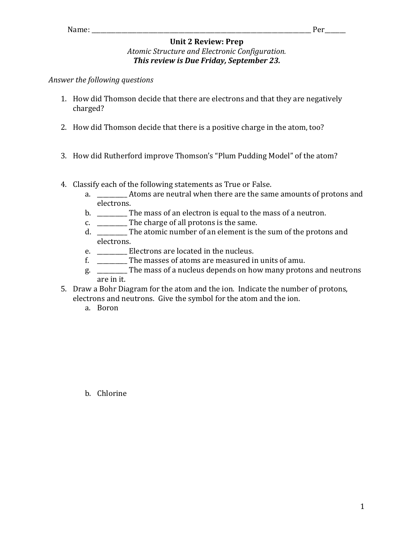## **Unit 2 Review: Prep**

## *Atomic Structure and Electronic Configuration.* **This review is Due Friday, September 23.**

## *Answer the following questions*

- 1. How did Thomson decide that there are electrons and that they are negatively charged?
- 2. How did Thomson decide that there is a positive charge in the atom, too?
- 3. How did Rutherford improve Thomson's "Plum Pudding Model" of the atom?
- 4. Classify each of the following statements as True or False.
	- a. Atoms are neutral when there are the same amounts of protons and electrons.
	- b. \_\_\_\_\_\_\_\_\_ The mass of an electron is equal to the mass of a neutron.
	- c.  $\frac{1}{\sqrt{1-\frac{1}{\pi}}}$  The charge of all protons is the same.
	- d. \_\_\_\_\_\_\_\_\_\_ The atomic number of an element is the sum of the protons and electrons.
	- e. \_\_\_\_\_\_\_\_\_\_\_\_ Electrons are located in the nucleus.
	- f. \_\_\_\_\_\_\_\_\_\_\_ The masses of atoms are measured in units of amu.
	- g. \_\_\_\_\_\_\_\_\_ The mass of a nucleus depends on how many protons and neutrons are in it.
- 5. Draw a Bohr Diagram for the atom and the ion. Indicate the number of protons, electrons and neutrons. Give the symbol for the atom and the ion.
	- a. Boron

b. Chlorine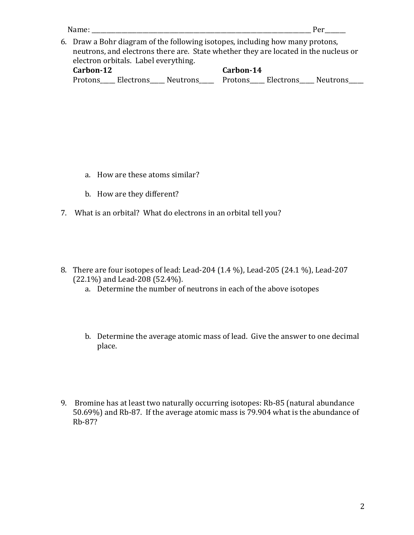| Name:                                                                                                                                                                                                        | Per                                                   |  |  |  |  |  |  |  |
|--------------------------------------------------------------------------------------------------------------------------------------------------------------------------------------------------------------|-------------------------------------------------------|--|--|--|--|--|--|--|
| 6. Draw a Bohr diagram of the following isotopes, including how many protons,<br>neutrons, and electrons there are. State whether they are located in the nucleus or<br>electron orbitals. Label everything. |                                                       |  |  |  |  |  |  |  |
| Carbon-12                                                                                                                                                                                                    | Carbon-14                                             |  |  |  |  |  |  |  |
|                                                                                                                                                                                                              | Protons Electrons Neutrons Protons Electrons Neutrons |  |  |  |  |  |  |  |

- a. How are these atoms similar?
- b. How are they different?
- 7. What is an orbital? What do electrons in an orbital tell you?
- 8. There are four isotopes of lead: Lead-204 (1.4 %), Lead-205 (24.1 %), Lead-207  $(22.1\%)$  and Lead-208 (52.4%).
	- a. Determine the number of neutrons in each of the above isotopes
	- b. Determine the average atomic mass of lead. Give the answer to one decimal place.
- 9. Bromine has at least two naturally occurring isotopes: Rb-85 (natural abundance 50.69%) and Rb-87. If the average atomic mass is  $\overline{79.904}$  what is the abundance of Rb-87?